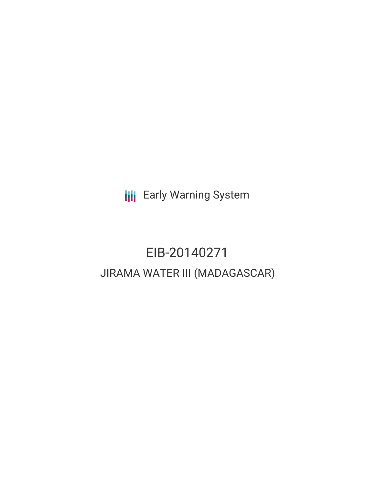**III** Early Warning System

# EIB-20140271 JIRAMA WATER III (MADAGASCAR)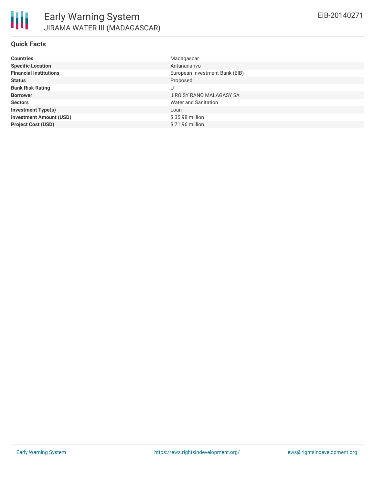#### **Quick Facts**

| <b>Countries</b>               | Madagascar                     |
|--------------------------------|--------------------------------|
| <b>Specific Location</b>       | Antananarivo                   |
| <b>Financial Institutions</b>  | European Investment Bank (EIB) |
| <b>Status</b>                  | Proposed                       |
| <b>Bank Risk Rating</b>        | U                              |
| <b>Borrower</b>                | JIRO SY RANO MALAGASY SA       |
| <b>Sectors</b>                 | Water and Sanitation           |
| <b>Investment Type(s)</b>      | Loan                           |
| <b>Investment Amount (USD)</b> | \$35.98 million                |
| <b>Project Cost (USD)</b>      | $$71.96$ million               |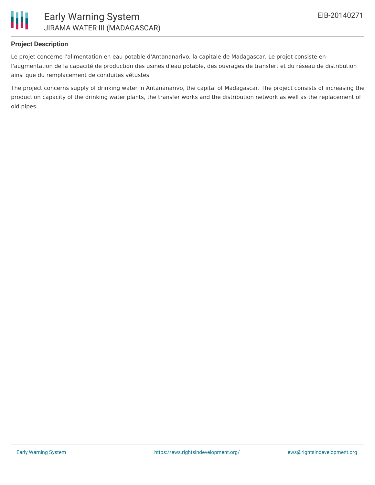

#### **Project Description**

Le projet concerne l'alimentation en eau potable d'Antananarivo, la capitale de Madagascar. Le projet consiste en l'augmentation de la capacité de production des usines d'eau potable, des ouvrages de transfert et du réseau de distribution ainsi que du remplacement de conduites vétustes.

The project concerns supply of drinking water in Antananarivo, the capital of Madagascar. The project consists of increasing the production capacity of the drinking water plants, the transfer works and the distribution network as well as the replacement of old pipes.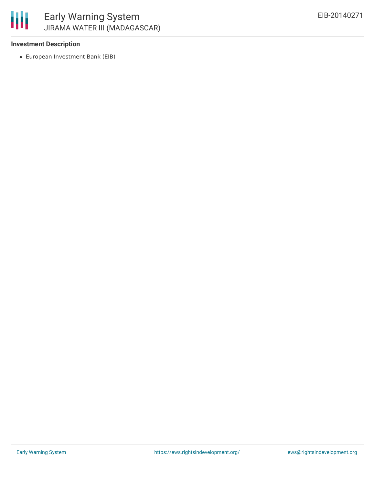

#### **Investment Description**

European Investment Bank (EIB)